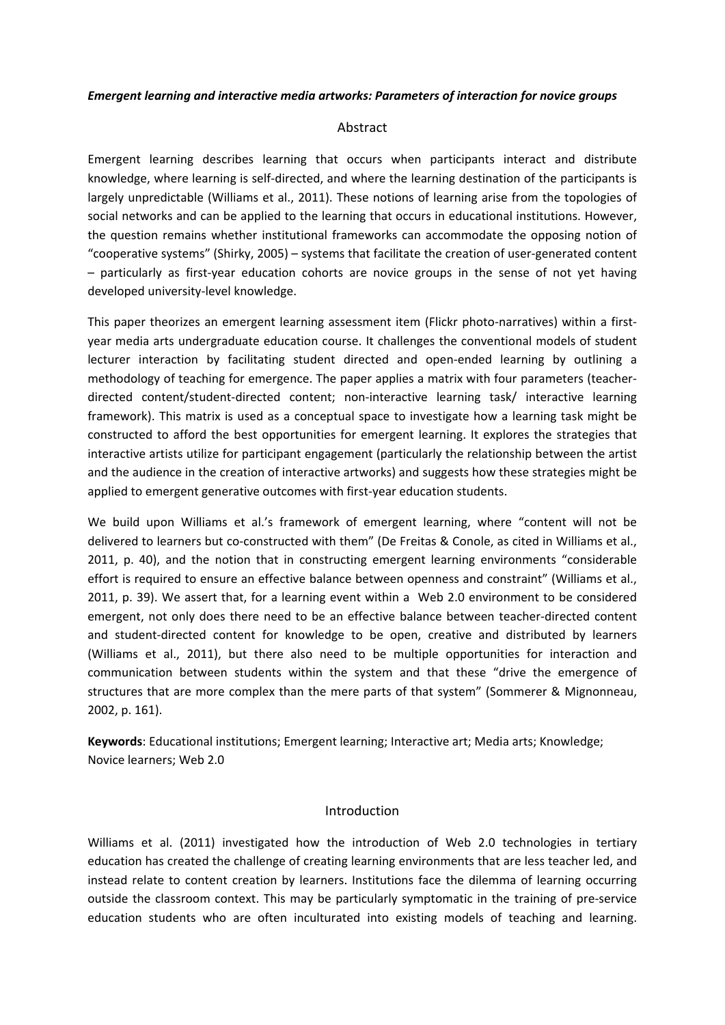#### *Emergent learning and interactive media artworks: Parameters of interaction for novice groups*

#### Abstract

Emergent learning describes learning that occurs when participants interact and distribute knowledge, where learning is self-directed, and where the learning destination of the participants is largely unpredictable (Williams et al., 2011). These notions of learning arise from the topologies of social networks and can be applied to the learning that occurs in educational institutions. However, the question remains whether institutional frameworks can accommodate the opposing notion of "cooperative systems" (Shirky, 2005) – systems that facilitate the creation of user‐generated content – particularly as first‐year education cohorts are novice groups in the sense of not yet having developed university‐level knowledge.

This paper theorizes an emergent learning assessment item (Flickr photo-narratives) within a firstyear media arts undergraduate education course. It challenges the conventional models of student lecturer interaction by facilitating student directed and open-ended learning by outlining a methodology of teaching for emergence. The paper applies a matrix with four parameters (teacher‐ directed content/student-directed content; non-interactive learning task/ interactive learning framework). This matrix is used as a conceptual space to investigate how a learning task might be constructed to afford the best opportunities for emergent learning. It explores the strategies that interactive artists utilize for participant engagement (particularly the relationship between the artist and the audience in the creation of interactive artworks) and suggests how these strategies might be applied to emergent generative outcomes with first-year education students.

We build upon Williams et al.'s framework of emergent learning, where "content will not be delivered to learners but co-constructed with them" (De Freitas & Conole, as cited in Williams et al., 2011, p. 40), and the notion that in constructing emergent learning environments "considerable effort is required to ensure an effective balance between openness and constraint" (Williams et al., 2011, p. 39). We assert that, for a learning event within a Web 2.0 environment to be considered emergent, not only does there need to be an effective balance between teacher-directed content and student‐directed content for knowledge to be open, creative and distributed by learners (Williams et al., 2011), but there also need to be multiple opportunities for interaction and communication between students within the system and that these "drive the emergence of structures that are more complex than the mere parts of that system" (Sommerer & Mignonneau, 2002, p. 161).

**Keywords**: Educational institutions; Emergent learning; Interactive art; Media arts; Knowledge; Novice learners; Web 2.0

## Introduction

Williams et al. (2011) investigated how the introduction of Web 2.0 technologies in tertiary education has created the challenge of creating learning environments that are less teacher led, and instead relate to content creation by learners. Institutions face the dilemma of learning occurring outside the classroom context. This may be particularly symptomatic in the training of pre‐service education students who are often inculturated into existing models of teaching and learning.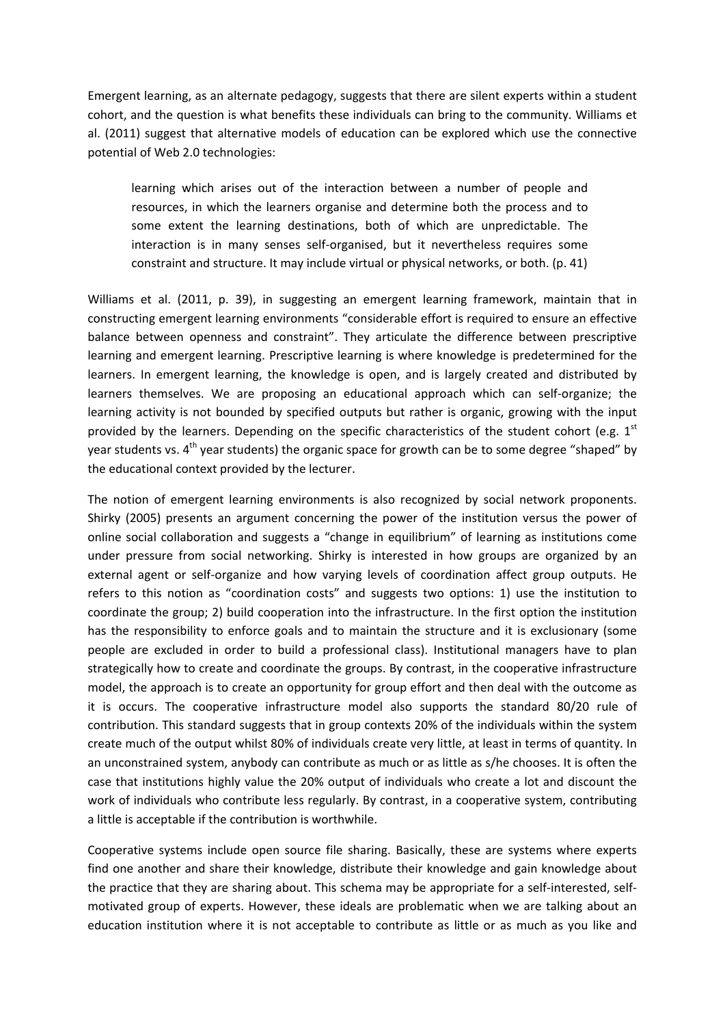Emergent learning, as an alternate pedagogy, suggests that there are silent experts within a student cohort, and the question is what benefits these individuals can bring to the community. Williams et al. (2011) suggest that alternative models of education can be explored which use the connective potential of Web 2.0 technologies:

learning which arises out of the interaction between a number of people and resources, in which the learners organise and determine both the process and to some extent the learning destinations, both of which are unpredictable. The interaction is in many senses self‐organised, but it nevertheless requires some constraint and structure. It may include virtual or physical networks, or both. (p. 41)

Williams et al. (2011, p. 39), in suggesting an emergent learning framework, maintain that in constructing emergent learning environments "considerable effort is required to ensure an effective balance between openness and constraint". They articulate the difference between prescriptive learning and emergent learning. Prescriptive learning is where knowledge is predetermined for the learners. In emergent learning, the knowledge is open, and is largely created and distributed by learners themselves. We are proposing an educational approach which can self‐organize; the learning activity is not bounded by specified outputs but rather is organic, growing with the input provided by the learners. Depending on the specific characteristics of the student cohort (e.g.  $1<sup>st</sup>$ year students vs.  $4<sup>th</sup>$  year students) the organic space for growth can be to some degree "shaped" by the educational context provided by the lecturer.

The notion of emergent learning environments is also recognized by social network proponents. Shirky (2005) presents an argument concerning the power of the institution versus the power of online social collaboration and suggests a "change in equilibrium" of learning as institutions come under pressure from social networking. Shirky is interested in how groups are organized by an external agent or self-organize and how varying levels of coordination affect group outputs. He refers to this notion as "coordination costs" and suggests two options: 1) use the institution to coordinate the group; 2) build cooperation into the infrastructure. In the first option the institution has the responsibility to enforce goals and to maintain the structure and it is exclusionary (some people are excluded in order to build a professional class). Institutional managers have to plan strategically how to create and coordinate the groups. By contrast, in the cooperative infrastructure model, the approach is to create an opportunity for group effort and then deal with the outcome as it is occurs. The cooperative infrastructure model also supports the standard 80/20 rule of contribution. This standard suggests that in group contexts 20% of the individuals within the system create much of the output whilst 80% of individuals create very little, at least in terms of quantity. In an unconstrained system, anybody can contribute as much or as little as s/he chooses. It is often the case that institutions highly value the 20% output of individuals who create a lot and discount the work of individuals who contribute less regularly. By contrast, in a cooperative system, contributing a little is acceptable if the contribution is worthwhile.

Cooperative systems include open source file sharing. Basically, these are systems where experts find one another and share their knowledge, distribute their knowledge and gain knowledge about the practice that they are sharing about. This schema may be appropriate for a self-interested, selfmotivated group of experts. However, these ideals are problematic when we are talking about an education institution where it is not acceptable to contribute as little or as much as you like and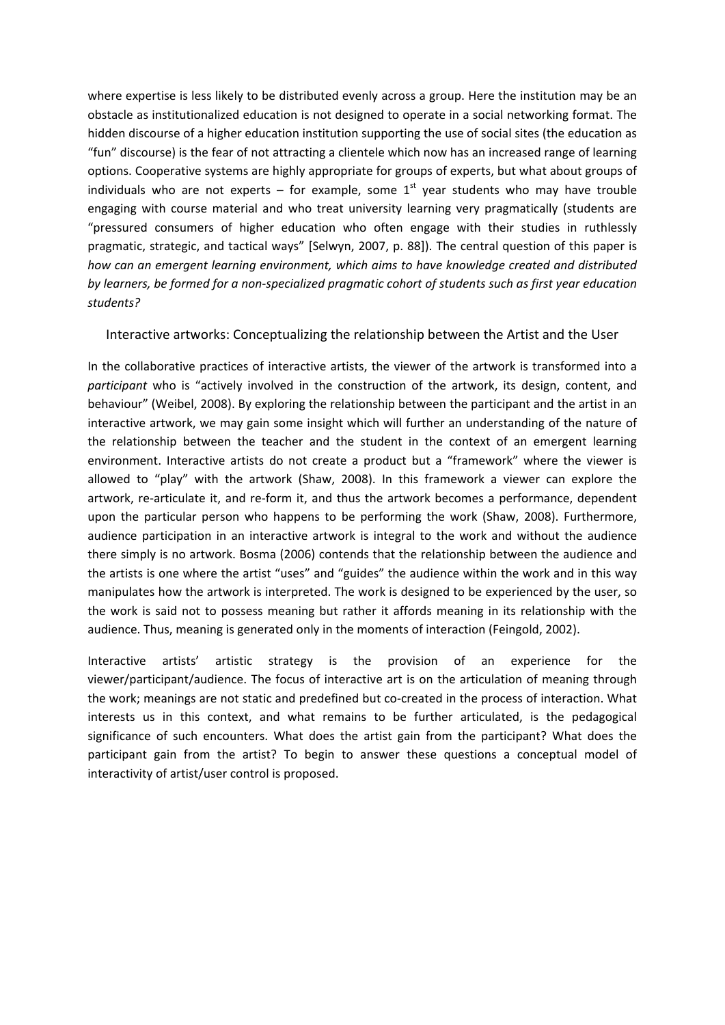where expertise is less likely to be distributed evenly across a group. Here the institution may be an obstacle as institutionalized education is not designed to operate in a social networking format. The hidden discourse of a higher education institution supporting the use of social sites (the education as "fun" discourse) is the fear of not attracting a clientele which now has an increased range of learning options. Cooperative systems are highly appropriate for groups of experts, but what about groups of individuals who are not experts – for example, some  $1<sup>st</sup>$  year students who may have trouble engaging with course material and who treat university learning very pragmatically (students are "pressured consumers of higher education who often engage with their studies in ruthlessly pragmatic, strategic, and tactical ways" [Selwyn, 2007, p. 88]). The central question of this paper is *how can an emergent learning environment, which aims to have knowledge created and distributed* by learners, be formed for a non-specialized pragmatic cohort of students such as first year education *students?*

## Interactive artworks: Conceptualizing the relationship between the Artist and the User

In the collaborative practices of interactive artists, the viewer of the artwork is transformed into a *participant* who is "actively involved in the construction of the artwork, its design, content, and behaviour" (Weibel, 2008). By exploring the relationship between the participant and the artist in an interactive artwork, we may gain some insight which will further an understanding of the nature of the relationship between the teacher and the student in the context of an emergent learning environment. Interactive artists do not create a product but a "framework" where the viewer is allowed to "play" with the artwork (Shaw, 2008). In this framework a viewer can explore the artwork, re-articulate it, and re-form it, and thus the artwork becomes a performance, dependent upon the particular person who happens to be performing the work (Shaw, 2008). Furthermore, audience participation in an interactive artwork is integral to the work and without the audience there simply is no artwork. Bosma (2006) contends that the relationship between the audience and the artists is one where the artist "uses" and "guides" the audience within the work and in this way manipulates how the artwork is interpreted. The work is designed to be experienced by the user, so the work is said not to possess meaning but rather it affords meaning in its relationship with the audience. Thus, meaning is generated only in the moments of interaction (Feingold, 2002).

Interactive artists' artistic strategy is the provision of an experience for the viewer/participant/audience. The focus of interactive art is on the articulation of meaning through the work; meanings are not static and predefined but co-created in the process of interaction. What interests us in this context, and what remains to be further articulated, is the pedagogical significance of such encounters. What does the artist gain from the participant? What does the participant gain from the artist? To begin to answer these questions a conceptual model of interactivity of artist/user control is proposed.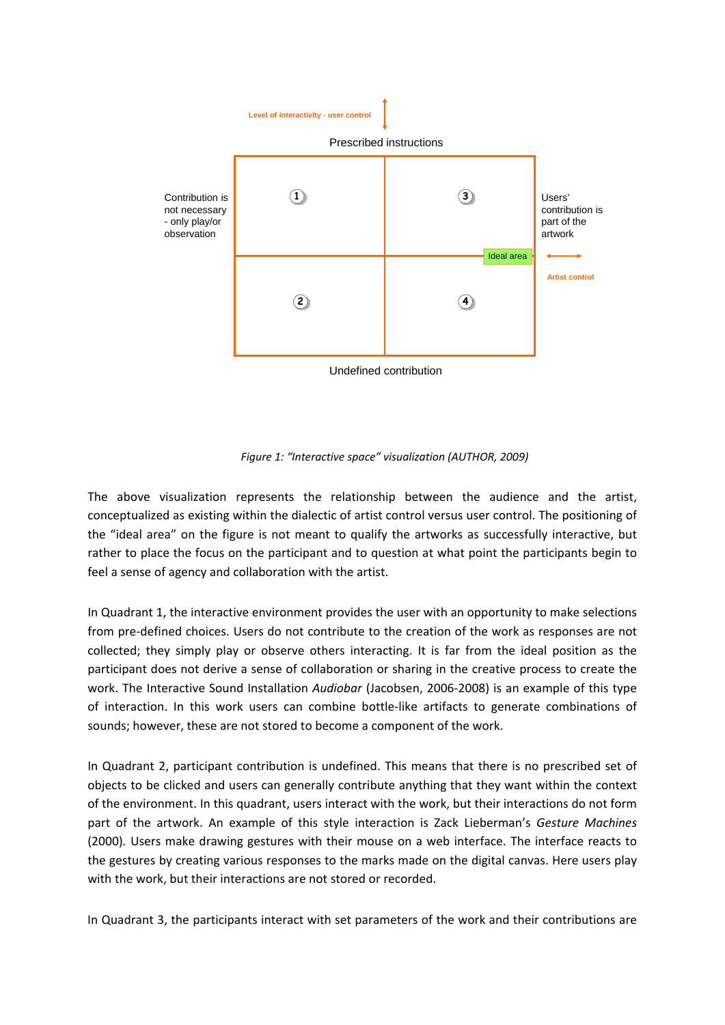

*Figure 1: "Interactive space" visualization (AUTHOR, 2009)*

The above visualization represents the relationship between the audience and the artist, conceptualized as existing within the dialectic of artist control versus user control. The positioning of the "ideal area" on the figure is not meant to qualify the artworks as successfully interactive, but rather to place the focus on the participant and to question at what point the participants begin to feel a sense of agency and collaboration with the artist.

In Quadrant 1, the interactive environment provides the user with an opportunity to make selections from pre-defined choices. Users do not contribute to the creation of the work as responses are not collected; they simply play or observe others interacting. It is far from the ideal position as the participant does not derive a sense of collaboration or sharing in the creative process to create the work. The Interactive Sound Installation *Audiobar* (Jacobsen, 2006‐2008) is an example of this type of interaction. In this work users can combine bottle‐like artifacts to generate combinations of sounds; however, these are not stored to become a component of the work.

In Quadrant 2, participant contribution is undefined. This means that there is no prescribed set of objects to be clicked and users can generally contribute anything that they want within the context of the environment. In this quadrant, users interact with the work, but their interactions do not form part of the artwork. An example of this style interaction is Zack Lieberman's *Gesture Machines* (2000)*.* Users make drawing gestures with their mouse on a web interface. The interface reacts to the gestures by creating various responses to the marks made on the digital canvas. Here users play with the work, but their interactions are not stored or recorded.

In Quadrant 3, the participants interact with set parameters of the work and their contributions are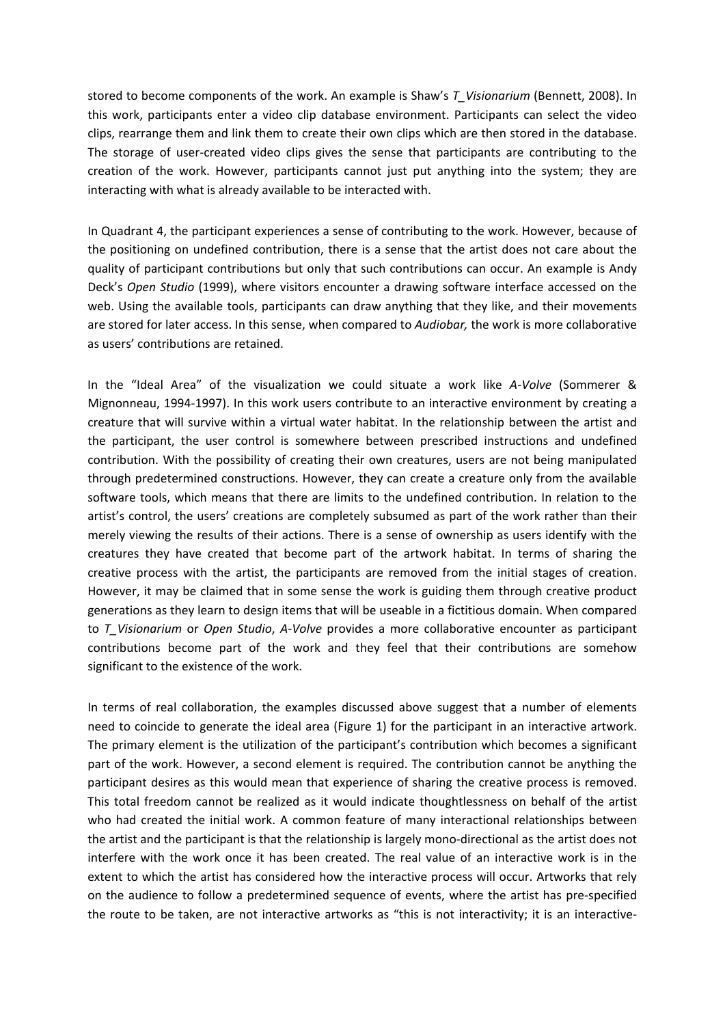stored to become components of the work. An example is Shaw's *T\_Visionarium* (Bennett, 2008). In this work, participants enter a video clip database environment. Participants can select the video clips, rearrange them and link them to create their own clips which are then stored in the database. The storage of user-created video clips gives the sense that participants are contributing to the creation of the work. However, participants cannot just put anything into the system; they are interacting with what is already available to be interacted with.

In Quadrant 4, the participant experiences a sense of contributing to the work. However, because of the positioning on undefined contribution, there is a sense that the artist does not care about the quality of participant contributions but only that such contributions can occur. An example is Andy Deck's *Open Studio* (1999), where visitors encounter a drawing software interface accessed on the web. Using the available tools, participants can draw anything that they like, and their movements are stored for later access. In this sense, when compared to *Audiobar,* the work is more collaborative as users' contributions are retained.

In the "Ideal Area" of the visualization we could situate a work like *A‐Volve* (Sommerer & Mignonneau, 1994‐1997). In this work users contribute to an interactive environment by creating a creature that will survive within a virtual water habitat. In the relationship between the artist and the participant, the user control is somewhere between prescribed instructions and undefined contribution. With the possibility of creating their own creatures, users are not being manipulated through predetermined constructions. However, they can create a creature only from the available software tools, which means that there are limits to the undefined contribution. In relation to the artist's control, the users' creations are completely subsumed as part of the work rather than their merely viewing the results of their actions. There is a sense of ownership as users identify with the creatures they have created that become part of the artwork habitat. In terms of sharing the creative process with the artist, the participants are removed from the initial stages of creation. However, it may be claimed that in some sense the work is guiding them through creative product generations as they learn to design items that will be useable in a fictitious domain. When compared to *T\_Visionarium* or *Open Studio*, *A‐Volve* provides a more collaborative encounter as participant contributions become part of the work and they feel that their contributions are somehow significant to the existence of the work.

In terms of real collaboration, the examples discussed above suggest that a number of elements need to coincide to generate the ideal area (Figure 1) for the participant in an interactive artwork. The primary element is the utilization of the participant's contribution which becomes a significant part of the work. However, a second element is required. The contribution cannot be anything the participant desires as this would mean that experience of sharing the creative process is removed. This total freedom cannot be realized as it would indicate thoughtlessness on behalf of the artist who had created the initial work. A common feature of many interactional relationships between the artist and the participant is that the relationship is largely mono-directional as the artist does not interfere with the work once it has been created. The real value of an interactive work is in the extent to which the artist has considered how the interactive process will occur. Artworks that rely on the audience to follow a predetermined sequence of events, where the artist has pre‐specified the route to be taken, are not interactive artworks as "this is not interactivity; it is an interactive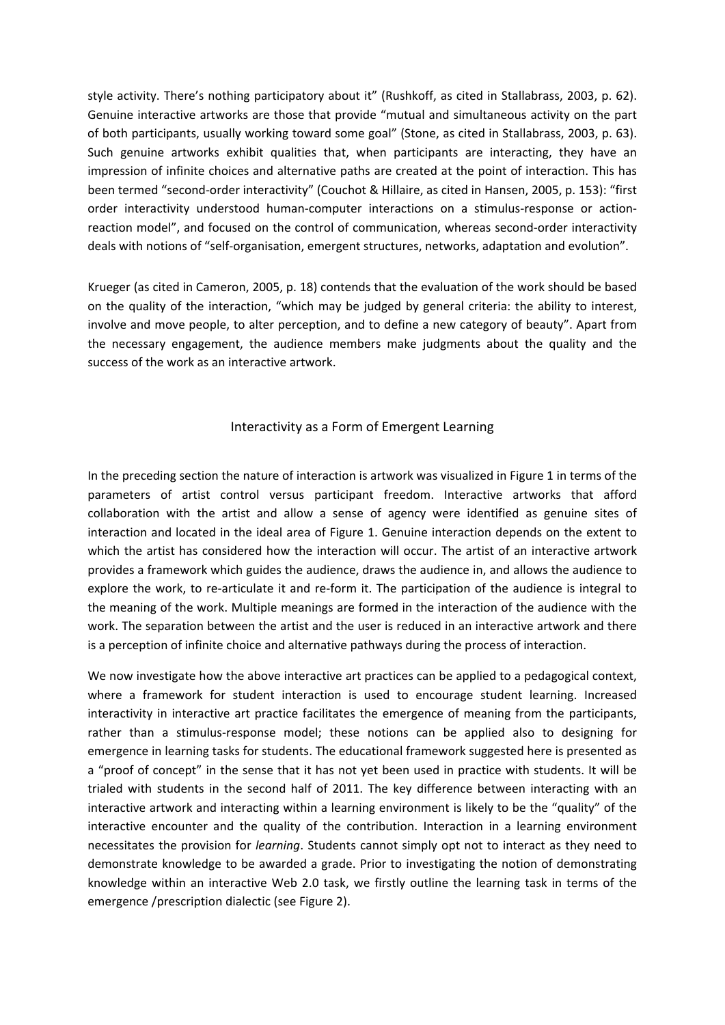style activity. There's nothing participatory about it" (Rushkoff, as cited in Stallabrass, 2003, p. 62). Genuine interactive artworks are those that provide "mutual and simultaneous activity on the part of both participants, usually working toward some goal" (Stone, as cited in Stallabrass, 2003, p. 63). Such genuine artworks exhibit qualities that, when participants are interacting, they have an impression of infinite choices and alternative paths are created at the point of interaction. This has been termed "second‐order interactivity" (Couchot & Hillaire, as cited in Hansen, 2005, p. 153): "first order interactivity understood human‐computer interactions on a stimulus‐response or action‐ reaction model", and focused on the control of communication, whereas second-order interactivity deals with notions of "self‐organisation, emergent structures, networks, adaptation and evolution".

Krueger (as cited in Cameron, 2005, p. 18) contends that the evaluation of the work should be based on the quality of the interaction, "which may be judged by general criteria: the ability to interest, involve and move people, to alter perception, and to define a new category of beauty". Apart from the necessary engagement, the audience members make judgments about the quality and the success of the work as an interactive artwork.

#### Interactivity as a Form of Emergent Learning

In the preceding section the nature of interaction is artwork was visualized in Figure 1 in terms of the parameters of artist control versus participant freedom. Interactive artworks that afford collaboration with the artist and allow a sense of agency were identified as genuine sites of interaction and located in the ideal area of Figure 1. Genuine interaction depends on the extent to which the artist has considered how the interaction will occur. The artist of an interactive artwork provides a framework which guides the audience, draws the audience in, and allows the audience to explore the work, to re-articulate it and re-form it. The participation of the audience is integral to the meaning of the work. Multiple meanings are formed in the interaction of the audience with the work. The separation between the artist and the user is reduced in an interactive artwork and there is a perception of infinite choice and alternative pathways during the process of interaction.

We now investigate how the above interactive art practices can be applied to a pedagogical context, where a framework for student interaction is used to encourage student learning. Increased interactivity in interactive art practice facilitates the emergence of meaning from the participants, rather than a stimulus-response model; these notions can be applied also to designing for emergence in learning tasks for students. The educational framework suggested here is presented as a "proof of concept" in the sense that it has not yet been used in practice with students. It will be trialed with students in the second half of 2011. The key difference between interacting with an interactive artwork and interacting within a learning environment is likely to be the "quality" of the interactive encounter and the quality of the contribution. Interaction in a learning environment necessitates the provision for *learning*. Students cannot simply opt not to interact as they need to demonstrate knowledge to be awarded a grade. Prior to investigating the notion of demonstrating knowledge within an interactive Web 2.0 task, we firstly outline the learning task in terms of the emergence /prescription dialectic (see Figure 2).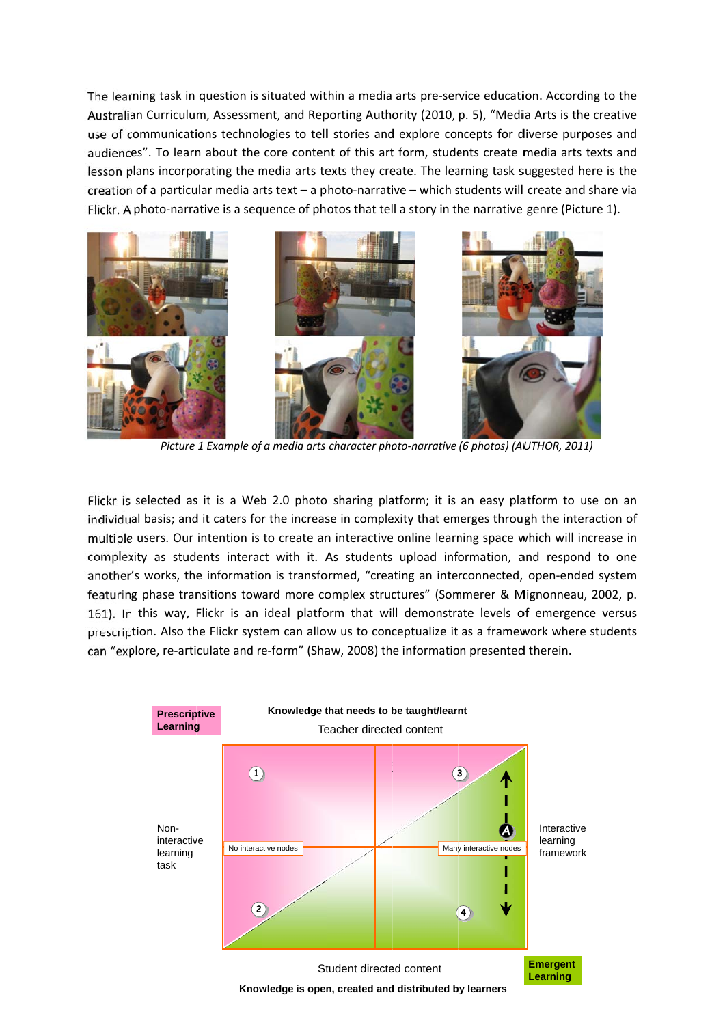The learning task in question is situated within a media arts pre-service education. According to the Australian Curriculum, Assessment, and Reporting Authority (2010, p. 5), "Media Arts is the creative use of communications technologies to tell stories and explore concepts for diverse purposes and audiences". To learn about the core content of this art form, students create media arts texts and lesson plans incorporating the media arts texts they create. The learning task suggested here is the creation of a particular media arts text – a photo-narrative – which students will create and share via Flickr. A photo-narrative is a sequence of photos that tell a story in the narrative genre (Picture 1).



Picture 1 Example of a media arts character photo-narrative (6 photos) (AUTHOR, 2011)

Flickr is selected as it is a Web 2.0 photo sharing platform; it is an easy platform to use on an individual basis; and it caters for the increase in complexity that emerges through the interaction of multiple users. Our intention is to create an interactive online learning space which will increase in complexity as students interact with it. As students upload information, and respond to one another's works, the information is transformed, "creating an interconnected, open-ended system featuring phase transitions toward more complex structures" (Sommerer & Mignonneau, 2002, p. 161). In this way, Flickr is an ideal platform that will demonstrate levels of emergence versus prescription. Also the Flickr system can allow us to conceptualize it as a framework where students can "explore, re-articulate and re-form" (Shaw, 2008) the information presented therein.

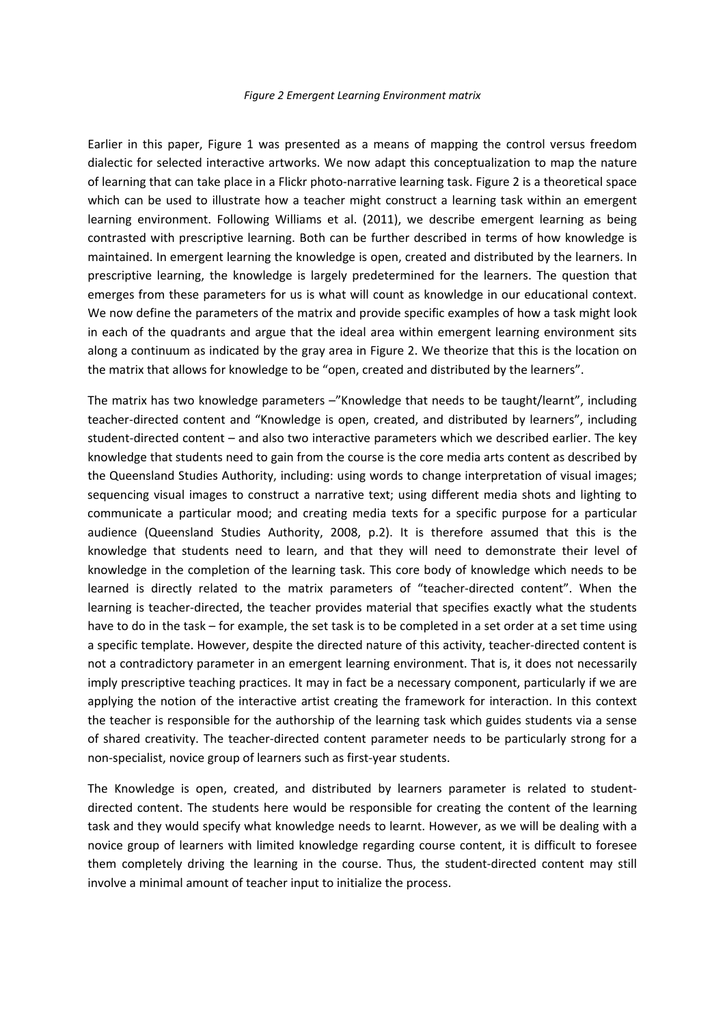#### *Figure 2 Emergent Learning Environment matrix*

Earlier in this paper, Figure 1 was presented as a means of mapping the control versus freedom dialectic for selected interactive artworks. We now adapt this conceptualization to map the nature of learning that can take place in a Flickr photo‐narrative learning task. Figure 2 is a theoretical space which can be used to illustrate how a teacher might construct a learning task within an emergent learning environment. Following Williams et al. (2011), we describe emergent learning as being contrasted with prescriptive learning. Both can be further described in terms of how knowledge is maintained. In emergent learning the knowledge is open, created and distributed by the learners. In prescriptive learning, the knowledge is largely predetermined for the learners. The question that emerges from these parameters for us is what will count as knowledge in our educational context. We now define the parameters of the matrix and provide specific examples of how a task might look in each of the quadrants and argue that the ideal area within emergent learning environment sits along a continuum as indicated by the gray area in Figure 2. We theorize that this is the location on the matrix that allows for knowledge to be "open, created and distributed by the learners".

The matrix has two knowledge parameters –"Knowledge that needs to be taught/learnt", including teacher‐directed content and "Knowledge is open, created, and distributed by learners", including student‐directed content – and also two interactive parameters which we described earlier. The key knowledge that students need to gain from the course is the core media arts content as described by the Queensland Studies Authority, including: using words to change interpretation of visual images; sequencing visual images to construct a narrative text; using different media shots and lighting to communicate a particular mood; and creating media texts for a specific purpose for a particular audience (Queensland Studies Authority, 2008, p.2). It is therefore assumed that this is the knowledge that students need to learn, and that they will need to demonstrate their level of knowledge in the completion of the learning task. This core body of knowledge which needs to be learned is directly related to the matrix parameters of "teacher-directed content". When the learning is teacher‐directed, the teacher provides material that specifies exactly what the students have to do in the task – for example, the set task is to be completed in a set order at a set time using a specific template. However, despite the directed nature of this activity, teacher-directed content is not a contradictory parameter in an emergent learning environment. That is, it does not necessarily imply prescriptive teaching practices. It may in fact be a necessary component, particularly if we are applying the notion of the interactive artist creating the framework for interaction. In this context the teacher is responsible for the authorship of the learning task which guides students via a sense of shared creativity. The teacher‐directed content parameter needs to be particularly strong for a non‐specialist, novice group of learners such as first‐year students.

The Knowledge is open, created, and distributed by learners parameter is related to student‐ directed content. The students here would be responsible for creating the content of the learning task and they would specify what knowledge needs to learnt. However, as we will be dealing with a novice group of learners with limited knowledge regarding course content, it is difficult to foresee them completely driving the learning in the course. Thus, the student‐directed content may still involve a minimal amount of teacher input to initialize the process.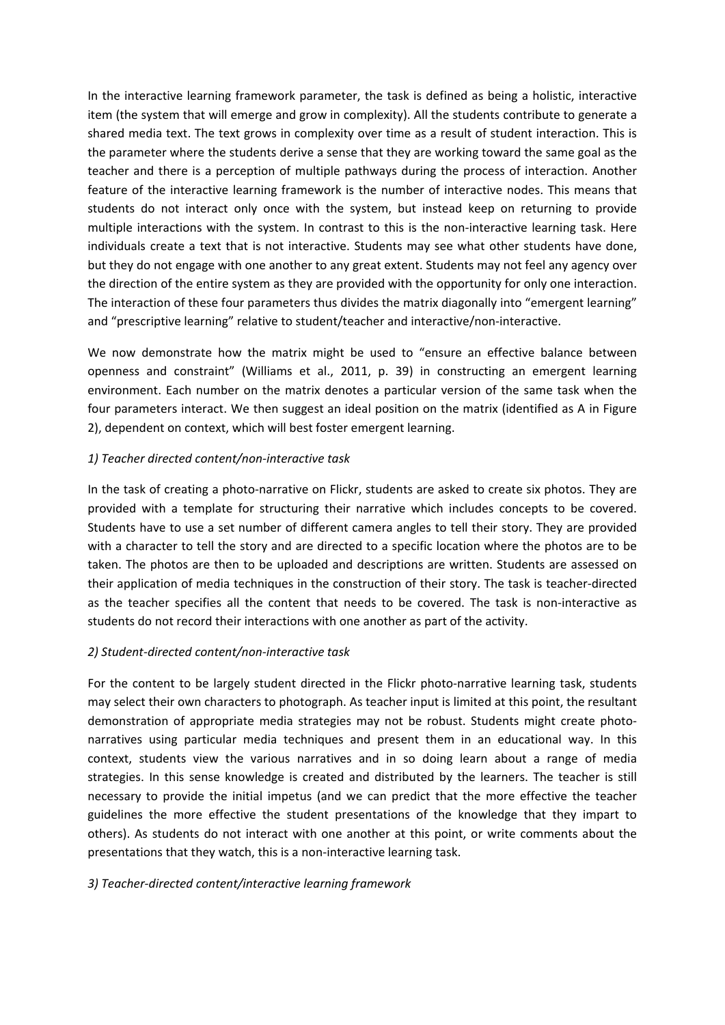In the interactive learning framework parameter, the task is defined as being a holistic, interactive item (the system that will emerge and grow in complexity). All the students contribute to generate a shared media text. The text grows in complexity over time as a result of student interaction. This is the parameter where the students derive a sense that they are working toward the same goal as the teacher and there is a perception of multiple pathways during the process of interaction. Another feature of the interactive learning framework is the number of interactive nodes. This means that students do not interact only once with the system, but instead keep on returning to provide multiple interactions with the system. In contrast to this is the non-interactive learning task. Here individuals create a text that is not interactive. Students may see what other students have done, but they do not engage with one another to any great extent. Students may not feel any agency over the direction of the entire system as they are provided with the opportunity for only one interaction. The interaction of these four parameters thus divides the matrix diagonally into "emergent learning" and "prescriptive learning" relative to student/teacher and interactive/non‐interactive.

We now demonstrate how the matrix might be used to "ensure an effective balance between openness and constraint" (Williams et al., 2011, p. 39) in constructing an emergent learning environment. Each number on the matrix denotes a particular version of the same task when the four parameters interact. We then suggest an ideal position on the matrix (identified as A in Figure 2), dependent on context, which will best foster emergent learning.

# *1) Teacher directed content/non‐interactive task*

In the task of creating a photo‐narrative on Flickr, students are asked to create six photos. They are provided with a template for structuring their narrative which includes concepts to be covered. Students have to use a set number of different camera angles to tell their story. They are provided with a character to tell the story and are directed to a specific location where the photos are to be taken. The photos are then to be uploaded and descriptions are written. Students are assessed on their application of media techniques in the construction of their story. The task is teacher‐directed as the teacher specifies all the content that needs to be covered. The task is non-interactive as students do not record their interactions with one another as part of the activity.

## *2) Student‐directed content/non‐interactive task*

For the content to be largely student directed in the Flickr photo-narrative learning task, students may select their own characters to photograph. As teacher input is limited at this point, the resultant demonstration of appropriate media strategies may not be robust. Students might create photo‐ narratives using particular media techniques and present them in an educational way. In this context, students view the various narratives and in so doing learn about a range of media strategies. In this sense knowledge is created and distributed by the learners. The teacher is still necessary to provide the initial impetus (and we can predict that the more effective the teacher guidelines the more effective the student presentations of the knowledge that they impart to others). As students do not interact with one another at this point, or write comments about the presentations that they watch, this is a non‐interactive learning task.

## *3) Teacher‐directed content/interactive learning framework*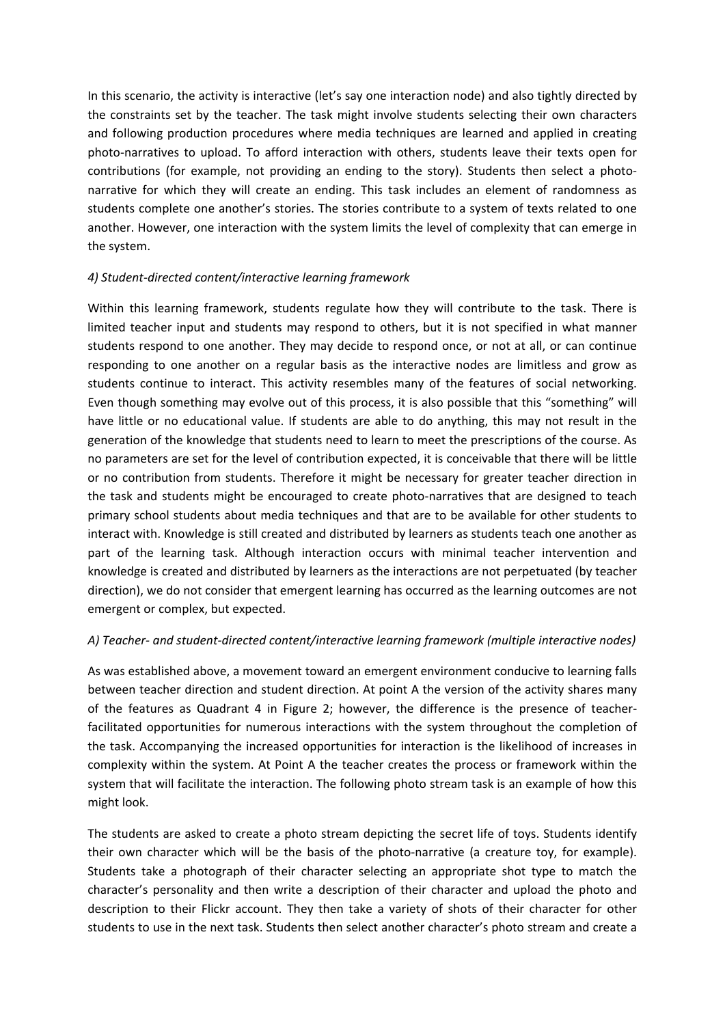In this scenario, the activity is interactive (let's say one interaction node) and also tightly directed by the constraints set by the teacher. The task might involve students selecting their own characters and following production procedures where media techniques are learned and applied in creating photo-narratives to upload. To afford interaction with others, students leave their texts open for contributions (for example, not providing an ending to the story). Students then select a photonarrative for which they will create an ending. This task includes an element of randomness as students complete one another's stories. The stories contribute to a system of texts related to one another. However, one interaction with the system limits the level of complexity that can emerge in the system.

## *4) Student‐directed content/interactive learning framework*

Within this learning framework, students regulate how they will contribute to the task. There is limited teacher input and students may respond to others, but it is not specified in what manner students respond to one another. They may decide to respond once, or not at all, or can continue responding to one another on a regular basis as the interactive nodes are limitless and grow as students continue to interact. This activity resembles many of the features of social networking. Even though something may evolve out of this process, it is also possible that this "something" will have little or no educational value. If students are able to do anything, this may not result in the generation of the knowledge that students need to learn to meet the prescriptions of the course. As no parameters are set for the level of contribution expected, it is conceivable that there will be little or no contribution from students. Therefore it might be necessary for greater teacher direction in the task and students might be encouraged to create photo‐narratives that are designed to teach primary school students about media techniques and that are to be available for other students to interact with. Knowledge is still created and distributed by learners as students teach one another as part of the learning task. Although interaction occurs with minimal teacher intervention and knowledge is created and distributed by learners as the interactions are not perpetuated (by teacher direction), we do not consider that emergent learning has occurred as the learning outcomes are not emergent or complex, but expected.

## *A) Teacher‐ and student‐directed content/interactive learning framework (multiple interactive nodes)*

As was established above, a movement toward an emergent environment conducive to learning falls between teacher direction and student direction. At point A the version of the activity shares many of the features as Quadrant 4 in Figure 2; however, the difference is the presence of teacher‐ facilitated opportunities for numerous interactions with the system throughout the completion of the task. Accompanying the increased opportunities for interaction is the likelihood of increases in complexity within the system. At Point A the teacher creates the process or framework within the system that will facilitate the interaction. The following photo stream task is an example of how this might look.

The students are asked to create a photo stream depicting the secret life of toys. Students identify their own character which will be the basis of the photo-narrative (a creature toy, for example). Students take a photograph of their character selecting an appropriate shot type to match the character's personality and then write a description of their character and upload the photo and description to their Flickr account. They then take a variety of shots of their character for other students to use in the next task. Students then select another character's photo stream and create a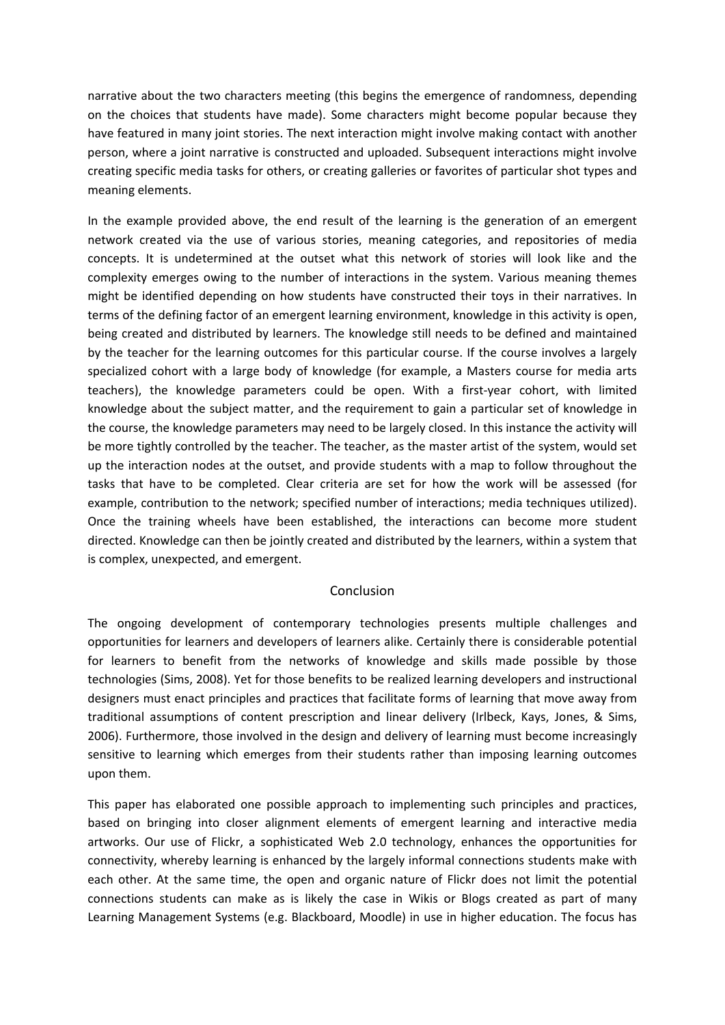narrative about the two characters meeting (this begins the emergence of randomness, depending on the choices that students have made). Some characters might become popular because they have featured in many joint stories. The next interaction might involve making contact with another person, where a joint narrative is constructed and uploaded. Subsequent interactions might involve creating specific media tasks for others, or creating galleries or favorites of particular shot types and meaning elements.

In the example provided above, the end result of the learning is the generation of an emergent network created via the use of various stories, meaning categories, and repositories of media concepts. It is undetermined at the outset what this network of stories will look like and the complexity emerges owing to the number of interactions in the system. Various meaning themes might be identified depending on how students have constructed their toys in their narratives. In terms of the defining factor of an emergent learning environment, knowledge in this activity is open, being created and distributed by learners. The knowledge still needs to be defined and maintained by the teacher for the learning outcomes for this particular course. If the course involves a largely specialized cohort with a large body of knowledge (for example, a Masters course for media arts teachers), the knowledge parameters could be open. With a first‐year cohort, with limited knowledge about the subject matter, and the requirement to gain a particular set of knowledge in the course, the knowledge parameters may need to be largely closed. In this instance the activity will be more tightly controlled by the teacher. The teacher, as the master artist of the system, would set up the interaction nodes at the outset, and provide students with a map to follow throughout the tasks that have to be completed. Clear criteria are set for how the work will be assessed (for example, contribution to the network; specified number of interactions; media techniques utilized). Once the training wheels have been established, the interactions can become more student directed. Knowledge can then be jointly created and distributed by the learners, within a system that is complex, unexpected, and emergent.

## Conclusion

The ongoing development of contemporary technologies presents multiple challenges and opportunities for learners and developers of learners alike. Certainly there is considerable potential for learners to benefit from the networks of knowledge and skills made possible by those technologies (Sims, 2008). Yet for those benefits to be realized learning developers and instructional designers must enact principles and practices that facilitate forms of learning that move away from traditional assumptions of content prescription and linear delivery (Irlbeck, Kays, Jones, & Sims, 2006). Furthermore, those involved in the design and delivery of learning must become increasingly sensitive to learning which emerges from their students rather than imposing learning outcomes upon them.

This paper has elaborated one possible approach to implementing such principles and practices, based on bringing into closer alignment elements of emergent learning and interactive media artworks. Our use of Flickr, a sophisticated Web 2.0 technology, enhances the opportunities for connectivity, whereby learning is enhanced by the largely informal connections students make with each other. At the same time, the open and organic nature of Flickr does not limit the potential connections students can make as is likely the case in Wikis or Blogs created as part of many Learning Management Systems (e.g. Blackboard, Moodle) in use in higher education. The focus has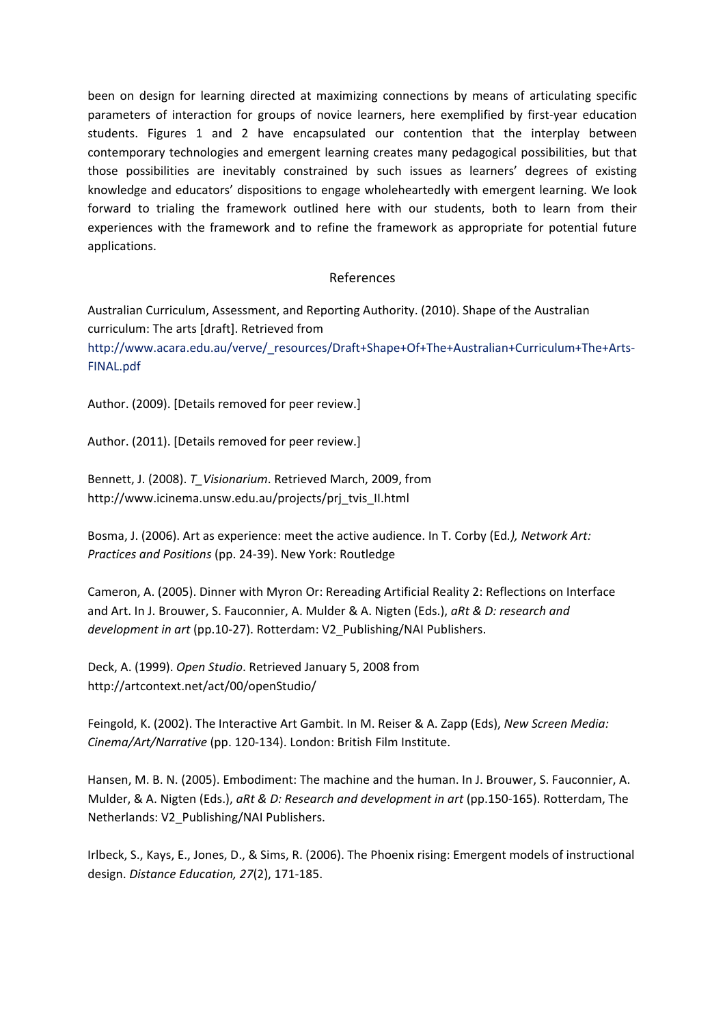been on design for learning directed at maximizing connections by means of articulating specific parameters of interaction for groups of novice learners, here exemplified by first-year education students. Figures 1 and 2 have encapsulated our contention that the interplay between contemporary technologies and emergent learning creates many pedagogical possibilities, but that those possibilities are inevitably constrained by such issues as learners' degrees of existing knowledge and educators' dispositions to engage wholeheartedly with emergent learning. We look forward to trialing the framework outlined here with our students, both to learn from their experiences with the framework and to refine the framework as appropriate for potential future applications.

# References

Australian Curriculum, Assessment, and Reporting Authority. (2010). Shape of the Australian curriculum: The arts [draft]. Retrieved from http://www.acara.edu.au/verve/\_resources/Draft+Shape+Of+The+Australian+Curriculum+The+Arts‐ FINAL.pdf

Author. (2009). [Details removed for peer review.]

Author. (2011). [Details removed for peer review.]

Bennett, J. (2008). *T\_Visionarium*. Retrieved March, 2009, from http://www.icinema.unsw.edu.au/projects/prj\_tvis\_II.html

Bosma, J. (2006). Art as experience: meet the active audience. In T. Corby (Ed*.), Network Art: Practices and Positions* (pp. 24‐39). New York: Routledge

Cameron, A. (2005). Dinner with Myron Or: Rereading Artificial Reality 2: Reflections on Interface and Art. In J. Brouwer, S. Fauconnier, A. Mulder & A. Nigten (Eds.), *aRt & D: research and development in art* (pp.10‐27). Rotterdam: V2\_Publishing/NAI Publishers.

Deck, A. (1999). *Open Studio*. Retrieved January 5, 2008 from http://artcontext.net/act/00/openStudio/

Feingold, K. (2002). The Interactive Art Gambit. In M. Reiser & A. Zapp (Eds), *New Screen Media: Cinema/Art/Narrative* (pp. 120‐134). London: British Film Institute.

Hansen, M. B. N. (2005). Embodiment: The machine and the human. In J. Brouwer, S. Fauconnier, A. Mulder, & A. Nigten (Eds.), *aRt & D: Research and development in art* (pp.150‐165). Rotterdam, The Netherlands: V2\_Publishing/NAI Publishers.

Irlbeck, S., Kays, E., Jones, D., & Sims, R. (2006). The Phoenix rising: Emergent models of instructional design. *Distance Education, 27*(2), 171‐185.